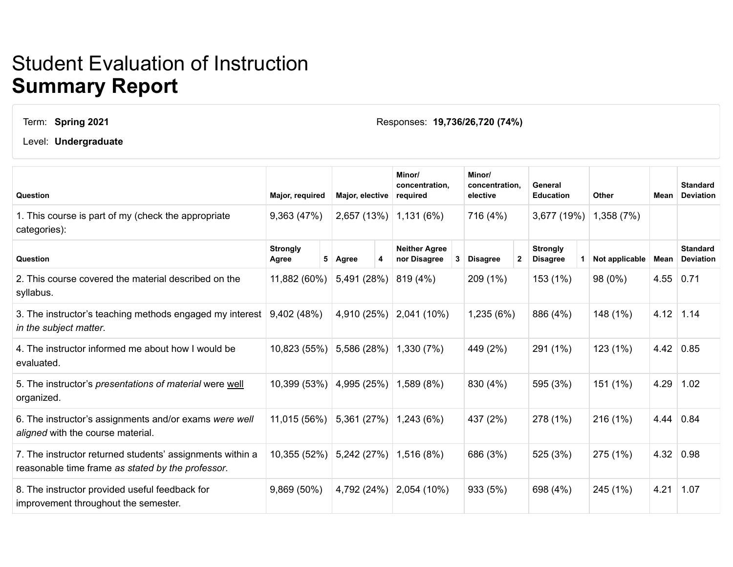## Student Evaluation of Instruction **Summary Report**

Term: **Spring 2021**

Responses: **19,736/26,720 (74%)**

Level: **Undergraduate**

| Question                                                                                                       | Major, required          |   | Major, elective |  | Minor/<br>concentration,<br>required |   | Minor/<br>concentration.<br>elective |              | General<br><b>Education</b>        |  | <b>Other</b>   | Mean | <b>Standard</b><br><b>Deviation</b> |
|----------------------------------------------------------------------------------------------------------------|--------------------------|---|-----------------|--|--------------------------------------|---|--------------------------------------|--------------|------------------------------------|--|----------------|------|-------------------------------------|
| 1. This course is part of my (check the appropriate<br>categories):                                            | 9,363 (47%)              |   | 2,657 (13%)     |  | 1,131(6%)                            |   | 716 (4%)                             |              | 3,677 (19%)                        |  | 1,358 (7%)     |      |                                     |
| Question                                                                                                       | <b>Strongly</b><br>Agree | 5 | Agree           |  | <b>Neither Agree</b><br>nor Disagree | 3 | <b>Disagree</b>                      | $\mathbf{2}$ | <b>Strongly</b><br><b>Disagree</b> |  | Not applicable | Mean | <b>Standard</b><br><b>Deviation</b> |
| 2. This course covered the material described on the<br>syllabus.                                              | 11,882 (60%)             |   | 5,491 (28%)     |  | 819 (4%)                             |   | 209 (1%)                             |              | 153 (1%)                           |  | 98 (0%)        | 4.55 | 0.71                                |
| 3. The instructor's teaching methods engaged my interest<br>in the subject matter.                             | 9,402 (48%)              |   | 4,910 (25%)     |  | 2,041 (10%)                          |   | 1,235(6%)                            |              | 886 (4%)                           |  | 148 (1%)       |      | $4.12$ 1.14                         |
| 4. The instructor informed me about how I would be<br>evaluated.                                               | 10,823 (55%)             |   | 5,586 (28%)     |  | 1,330 (7%)                           |   | 449 (2%)                             |              | 291 (1%)                           |  | 123(1%)        | 4.42 | 0.85                                |
| 5. The instructor's presentations of material were well<br>organized.                                          | 10,399 (53%)             |   | 4,995 (25%)     |  | 1,589 (8%)                           |   | 830 (4%)                             |              | 595 (3%)                           |  | 151 (1%)       | 4.29 | 1.02                                |
| 6. The instructor's assignments and/or exams were well<br>aligned with the course material.                    | 11,015 (56%)             |   | 5,361 (27%)     |  | 1,243(6%)                            |   | 437 (2%)                             |              | 278 (1%)                           |  | 216 (1%)       | 4.44 | 0.84                                |
| 7. The instructor returned students' assignments within a<br>reasonable time frame as stated by the professor. | 10,355 (52%)             |   | 5,242 (27%)     |  | 1,516 (8%)                           |   | 686 (3%)                             |              | 525 (3%)                           |  | 275 (1%)       | 4.32 | 0.98                                |
| 8. The instructor provided useful feedback for<br>improvement throughout the semester.                         | 9,869 (50%)              |   | 4,792 (24%)     |  | 2,054 (10%)                          |   | 933 (5%)                             |              | 698 (4%)                           |  | 245 (1%)       | 4.21 | 1.07                                |